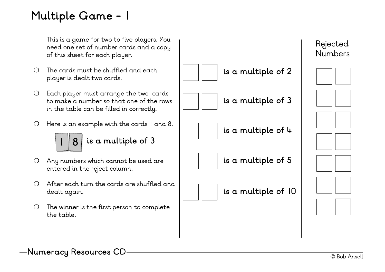# **Multiple Game - 1**

This is a game for two to five players. You need one set of number cards and a copy of this sheet for each player.

- ❍ The cards must be shuffled and each player is dealt two cards.
- ❍ Each player must arrange the two cards to make a number so that one of the rows in the table can be filled in correctly.
- ❍ Here is an example with the cards 1 and 8.



#### **1 8 is a multiple of 3**

- ❍ Any numbers which cannot be used are entered in the reject column.
- ❍ After each turn the cards are shuffled and dealt again.
- ❍ The winner is the first person to complete the table.



© Bob Ansell **Numeracy Resources CD**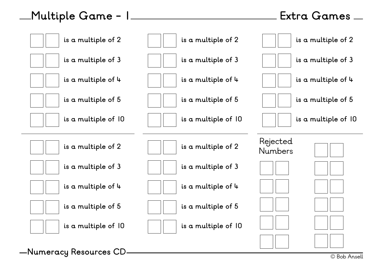# **Multiple Game - 1**

#### **Extra Games**

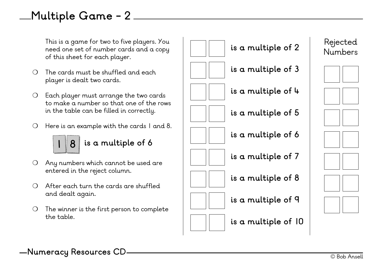# **Multiple Game - 2**

This is a game for two to five players. You need one set of number cards and a copy of this sheet for each player.

- $\Omega$  The cards must be shuffled and each player is dealt two cards.
- ❍ Each player must arrange the two cards to make a number so that one of the rows in the table can be filled in correctly.
- ❍ Here is an example with the cards 1 and 8.



#### **1 8 is a multiple of 6 1 8 is a multiple of 6**

- ❍ Any numbers which cannot be used are entered in the reject column.
- ❍ After each turn the cards are shuffled and dealt again.
- ❍ The winner is the first person to complete the table.





- **is a multiple of 3**
- **is a multiple of 4**
- **is a multiple of 5**
- **is a multiple of 6**
- **is a multiple of 7**
- **is a multiple of 8**
- **is a multiple of 9**
- **is a multiple of 10**

















© Bob Ansell **Numeracy Resources CD**